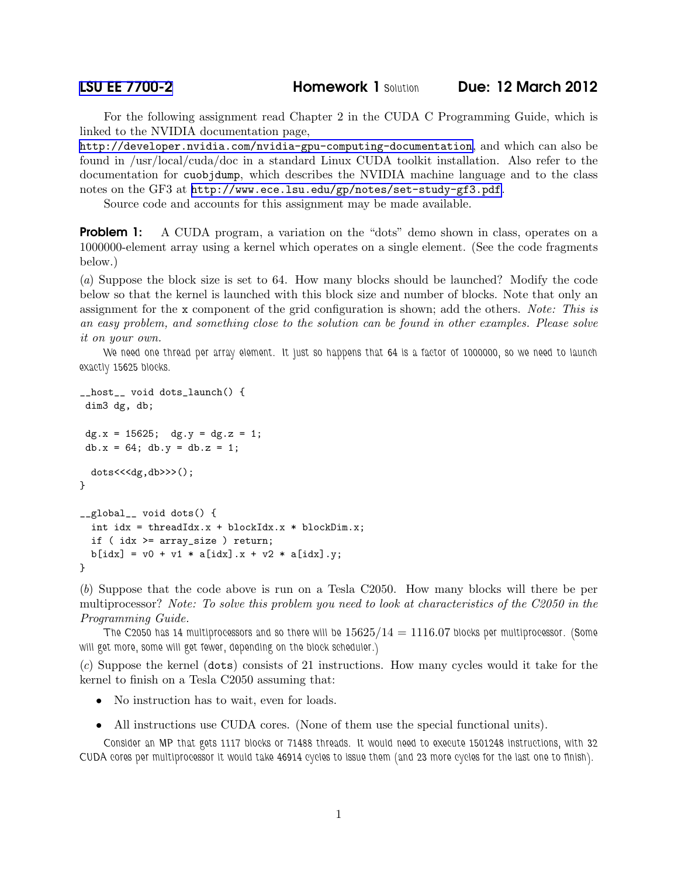For the following assignment read Chapter 2 in the CUDA C Programming Guide, which is linked to the NVIDIA documentation page,

<http://developer.nvidia.com/nvidia-gpu-computing-documentation>, and which can also be found in /usr/local/cuda/doc in a standard Linux CUDA toolkit installation. Also refer to the documentation for cuobjdump, which describes the NVIDIA machine language and to the class notes on the GF3 at <http://www.ece.lsu.edu/gp/notes/set-study-gf3.pdf>.

Source code and accounts for this assignment may be made available.

**Problem 1:** A CUDA program, a variation on the "dots" demo shown in class, operates on a 1000000-element array using a kernel which operates on a single element. (See the code fragments below.)

(*a*) Suppose the block size is set to 64. How many blocks should be launched? Modify the code below so that the kernel is launched with this block size and number of blocks. Note that only an assignment for the x component of the grid configuration is shown; add the others. *Note: This is an easy problem, and something close to the solution can be found in other examples. Please solve it on your own.*

*We need one thread per array element. It just so happens that 64 is a factor of 1000000, so we need to launch exactly 15625 blocks.*

```
__host__ void dots_launch() {
dim3 dg, db;
dg.x = 15625; dg.y = dg.z = 1;
db.x = 64; db.y = db.z = 1;
  dots<<<dg,db>>>();
}
__global__ void dots() {
  int idx = threadIdx.x + blockIdx.x * blockDim.x;
  if ( idx >= array_size ) return;
  b[idx] = v0 + v1 * a[idx].x + v2 * a[idx].y;
}
```
(*b*) Suppose that the code above is run on a Tesla C2050. How many blocks will there be per multiprocessor? *Note: To solve this problem you need to look at characteristics of the C2050 in the Programming Guide.*

*The C2050 has 14 multiprocessors and so there will be* 15625/14 = 1116.07 *blocks per multiprocessor. (Some will get more, some will get fewer, depending on the block scheduler.)*

(*c*) Suppose the kernel (dots) consists of 21 instructions. How many cycles would it take for the kernel to finish on a Tesla C2050 assuming that:

- No instruction has to wait, even for loads.
- All instructions use CUDA cores. (None of them use the special functional units).

*Consider an MP that gets 1117 blocks or 71488 threads. It would need to execute 1501248 instructions, with 32 CUDA cores per multiprocessor it would take 46914 cycles to issue them (and 23 more cycles for the last one to finish).*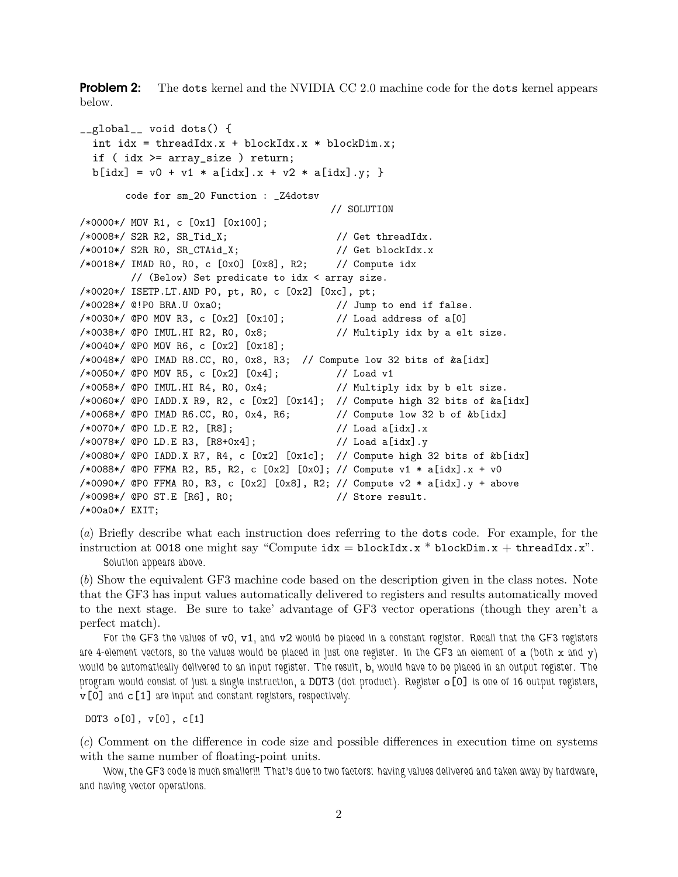**Problem 2:** The dots kernel and the NVIDIA CC 2.0 machine code for the dots kernel appears below.

```
__global__ void dots() {
  int idx = threadIdx.x +blockIdx.x *blockDim.x;
  if ( idx >= array_size ) return;
 b[idx] = v0 + v1 * a[idx].x + v2 * a[idx].y; }
       code for sm_20 Function : _Z4dotsv
                                        // SOLUTION
/*0000*/ MOV R1, c [0x1] [0x100];
/*0008*/ S2R R2, SR_Tid_X; // Get threadIdx.
/*0010*/ S2R R0, SR_CTAid_X; // Get blockIdx.x
/*0018*/ IMAD R0, R0, c [0x0] [0x8], R2; // Compute idx
        // (Below) Set predicate to idx < array size.
/*0020*/ ISETP.LT.AND P0, pt, R0, c [0x2] [0xc], pt;
/*0028*/ @!P0 BRA.U 0xa0; // Jump to end if false.
\frac{\sqrt{0.030*}}{9} (PO MOV R3, c \frac{0x}{10x} \frac{0.01}{10}; \frac{\sqrt{0.030*}}{2} \frac{0.01}{100}/*0038*/ @P0 IMUL.HI R2, R0, 0x8; // Multiply idx by a elt size.
/*0040*/ @P0 MOV R6, c [0x2] [0x18];
/*0048*/ @P0 IMAD R8.CC, R0, 0x8, R3; // Compute low 32 bits of &a[idx]
/*0050*/ @P0 MOV R5, c [0x2] [0x4]; // Load v1
/*0058*/ @P0 IMUL.HI R4, R0, 0x4; // Multiply idx by b elt size.
/*0060*/ @P0 IADD.X R9, R2, c [0x2] [0x14]; // Compute high 32 bits of &a[idx]
/*0068*/ @P0 IMAD R6.CC, R0, 0x4, R6; // Compute low 32 b of &b[idx]
/*0070*/ @P0 LD.E R2, [R8]; // Load a[idx].x
/*0078*/ @P0 LD.E R3, [R8+0x4]; // Load a[idx].y
/*0080*/ @P0 IADD.X R7, R4, c [0x2] [0x1c]; // Compute high 32 bits of &b[idx]
/*0088*/ @P0 FFMA R2, R5, R2, c [0x2] [0x0]; // Compute v1 * a[idx].x + v0
/*0090*/ @P0 FFMA R0, R3, c [0x2] [0x8], R2; // Compute v2 * a [idx].y + above
/*0098*/ @P0 ST.E [R6], R0; // Store result.
/*00a0*/ EXIT;
```
(*a*) Briefly describe what each instruction does referring to the dots code. For example, for the instruction at 0018 one might say "Compute  $idx = blockIdx.x * blockDim.x + threadIdx.x$ ". *Solution appears above.*

(*b*) Show the equivalent GF3 machine code based on the description given in the class notes. Note that the GF3 has input values automatically delivered to registers and results automatically moved to the next stage. Be sure to take' advantage of GF3 vector operations (though they aren't a perfect match).

*For the GF3 the values of* v0*,* v1*, and* v2 *would be placed in a constant register. Recall that the GF3 registers are 4-element vectors, so the values would be placed in just one register. In the GF3 an element of* a *(both* x *and* y*) would be automatically delivered to an input register. The result,* b*, would have to be placed in an output register. The program would consist of just a single instruction, a* DOT3 *(dot product). Register* o[0] *is one of 16 output registers,* v[0] *and* c[1] *are input and constant registers, respectively.*

DOT3 o[0], v[0], c[1]

(*c*) Comment on the difference in code size and possible differences in execution time on systems with the same number of floating-point units.

*Wow, the GF3 code is much smaller!!! That's due to two factors: having values delivered and taken away by hardware, and having vector operations.*